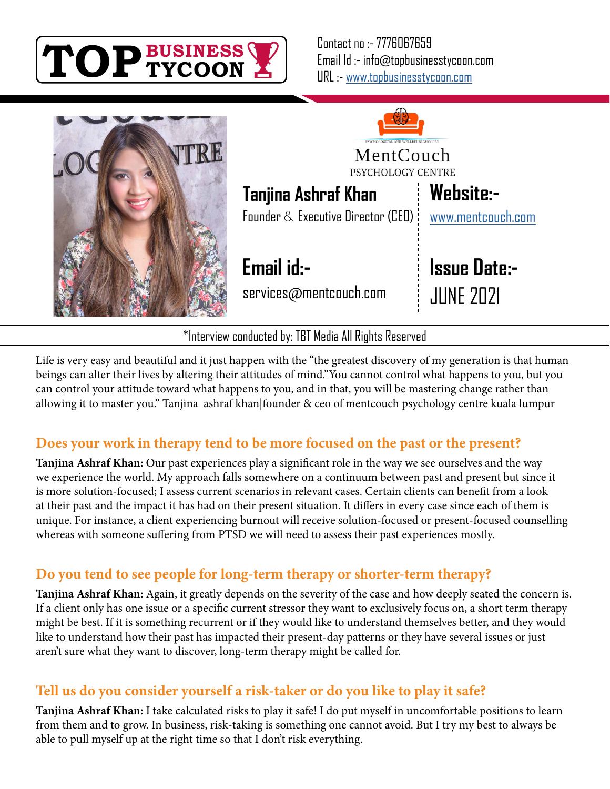

Contact no :- 7776067659 Email Id :- info@topbusinesstycoon.com URL :- [www.topbusinesstycoon.com](https://www.topbusinesstycoon.com/)





Life is very easy and beautiful and it just happen with the "the greatest discovery of my generation is that human beings can alter their lives by altering their attitudes of mind."You cannot control what happens to you, but you can control your attitude toward what happens to you, and in that, you will be mastering change rather than allowing it to master you." Tanjina ashraf khan|founder & ceo of mentcouch psychology centre kuala lumpur

# **Does your work in therapy tend to be more focused on the past or the present?**

**Tanjina Ashraf Khan:** Our past experiences play a significant role in the way we see ourselves and the way we experience the world. My approach falls somewhere on a continuum between past and present but since it is more solution-focused; I assess current scenarios in relevant cases. Certain clients can benefit from a look at their past and the impact it has had on their present situation. It differs in every case since each of them is unique. For instance, a client experiencing burnout will receive solution-focused or present-focused counselling whereas with someone suffering from PTSD we will need to assess their past experiences mostly.

# **Do you tend to see people for long-term therapy or shorter-term therapy?**

**Tanjina Ashraf Khan:** Again, it greatly depends on the severity of the case and how deeply seated the concern is. If a client only has one issue or a specific current stressor they want to exclusively focus on, a short term therapy might be best. If it is something recurrent or if they would like to understand themselves better, and they would like to understand how their past has impacted their present-day patterns or they have several issues or just aren't sure what they want to discover, long-term therapy might be called for.

# **Tell us do you consider yourself a risk-taker or do you like to play it safe?**

**Tanjina Ashraf Khan:** I take calculated risks to play it safe! I do put myself in uncomfortable positions to learn from them and to grow. In business, risk-taking is something one cannot avoid. But I try my best to always be able to pull myself up at the right time so that I don't risk everything.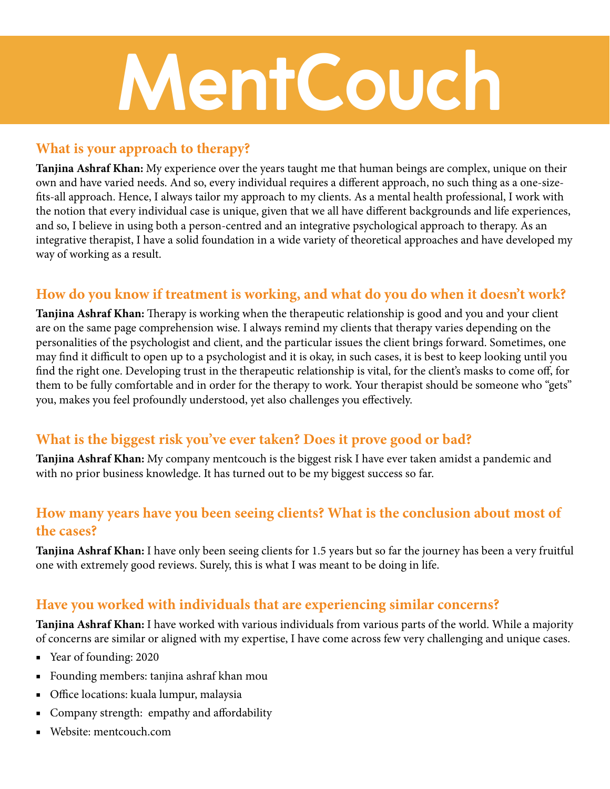# **MentCouch**

# **What is your approach to therapy?**

**Tanjina Ashraf Khan:** My experience over the years taught me that human beings are complex, unique on their own and have varied needs. And so, every individual requires a different approach, no such thing as a one-sizefits-all approach. Hence, I always tailor my approach to my clients. As a mental health professional, I work with the notion that every individual case is unique, given that we all have different backgrounds and life experiences, and so, I believe in using both a person-centred and an integrative psychological approach to therapy. As an integrative therapist, I have a solid foundation in a wide variety of theoretical approaches and have developed my way of working as a result.

# **How do you know if treatment is working, and what do you do when it doesn't work?**

**Tanjina Ashraf Khan:** Therapy is working when the therapeutic relationship is good and you and your client are on the same page comprehension wise. I always remind my clients that therapy varies depending on the personalities of the psychologist and client, and the particular issues the client brings forward. Sometimes, one may find it difficult to open up to a psychologist and it is okay, in such cases, it is best to keep looking until you find the right one. Developing trust in the therapeutic relationship is vital, for the client's masks to come off, for them to be fully comfortable and in order for the therapy to work. Your therapist should be someone who "gets" you, makes you feel profoundly understood, yet also challenges you effectively.

# **What is the biggest risk you've ever taken? Does it prove good or bad?**

**Tanjina Ashraf Khan:** My company mentcouch is the biggest risk I have ever taken amidst a pandemic and with no prior business knowledge. It has turned out to be my biggest success so far.

# **How many years have you been seeing clients? What is the conclusion about most of the cases?**

**Tanjina Ashraf Khan:** I have only been seeing clients for 1.5 years but so far the journey has been a very fruitful one with extremely good reviews. Surely, this is what I was meant to be doing in life.

# **Have you worked with individuals that are experiencing similar concerns?**

**Tanjina Ashraf Khan:** I have worked with various individuals from various parts of the world. While a majority of concerns are similar or aligned with my expertise, I have come across few very challenging and unique cases.

- Year of founding: 2020
- Founding members: tanjina ashraf khan mou
- Office locations: kuala lumpur, malaysia
- Company strength: empathy and affordability
- Website: mentcouch.com